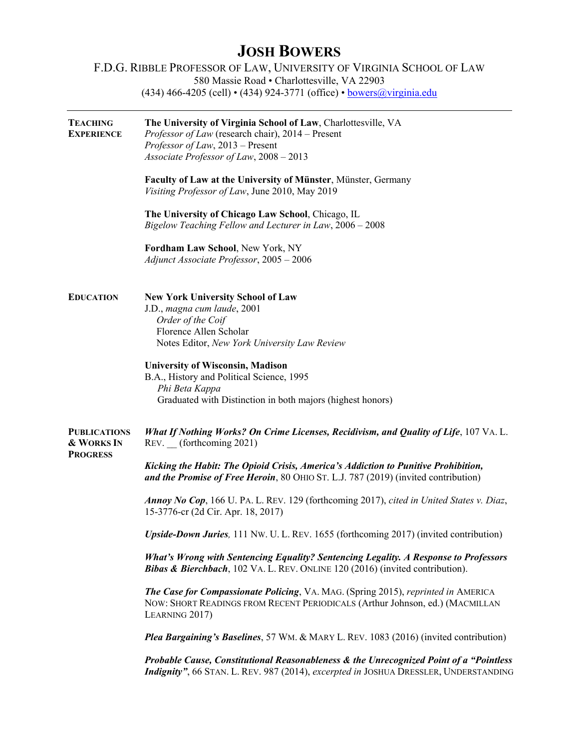## **JOSH BOWERS**

## F.D.G. RIBBLE PROFESSOR OF LAW, UNIVERSITY OF VIRGINIA SCHOOL OF LAW 580 Massie Road • Charlottesville, VA 22903 (434) 466-4205 (cell) • (434) 924-3771 (office) • [bowers@virginia.edu](mailto:bowers@virginia.edu)

| <b>TEACHING</b><br><b>EXPERIENCE</b>                 | The University of Virginia School of Law, Charlottesville, VA<br><i>Professor of Law</i> (research chair), 2014 – Present<br>Professor of Law, 2013 – Present<br>Associate Professor of Law, 2008 - 2013 |
|------------------------------------------------------|----------------------------------------------------------------------------------------------------------------------------------------------------------------------------------------------------------|
|                                                      | Faculty of Law at the University of Münster, Münster, Germany<br>Visiting Professor of Law, June 2010, May 2019                                                                                          |
|                                                      | The University of Chicago Law School, Chicago, IL<br>Bigelow Teaching Fellow and Lecturer in Law, 2006 - 2008                                                                                            |
|                                                      | Fordham Law School, New York, NY<br>Adjunct Associate Professor, 2005 - 2006                                                                                                                             |
| <b>EDUCATION</b>                                     | <b>New York University School of Law</b><br>J.D., magna cum laude, 2001<br>Order of the Coif<br>Florence Allen Scholar<br>Notes Editor, New York University Law Review                                   |
|                                                      | <b>University of Wisconsin, Madison</b><br>B.A., History and Political Science, 1995<br>Phi Beta Kappa<br>Graduated with Distinction in both majors (highest honors)                                     |
| <b>PUBLICATIONS</b><br>& WORKS IN<br><b>PROGRESS</b> | What If Nothing Works? On Crime Licenses, Recidivism, and Quality of Life, 107 VA. L.<br>REV. (forthcoming 2021)                                                                                         |
|                                                      | Kicking the Habit: The Opioid Crisis, America's Addiction to Punitive Prohibition,<br>and the Promise of Free Heroin, 80 OHIO ST. L.J. 787 (2019) (invited contribution)                                 |
|                                                      | Annoy No Cop, 166 U. PA. L. REV. 129 (forthcoming 2017), cited in United States v. Diaz,<br>15-3776-cr (2d Cir. Apr. 18, 2017)                                                                           |
|                                                      | Upside-Down Juries, 111 Nw. U. L. REV. 1655 (forthcoming 2017) (invited contribution)                                                                                                                    |
|                                                      | What's Wrong with Sentencing Equality? Sentencing Legality. A Response to Professors<br><b>Bibas &amp; Bierchbach</b> , 102 VA. L. REV. ONLINE 120 (2016) (invited contribution).                        |
|                                                      | <b>The Case for Compassionate Policing, VA. MAG. (Spring 2015), reprinted in AMERICA</b><br>NOW: SHORT READINGS FROM RECENT PERIODICALS (Arthur Johnson, ed.) (MACMILLAN<br>LEARNING 2017)               |
|                                                      | Plea Bargaining's Baselines, 57 WM. & MARY L. REV. 1083 (2016) (invited contribution)                                                                                                                    |
|                                                      | Probable Cause, Constitutional Reasonableness & the Unrecognized Point of a "Pointless"<br>Indignity", 66 STAN. L. REV. 987 (2014), excerpted in JOSHUA DRESSLER, UNDERSTANDING                          |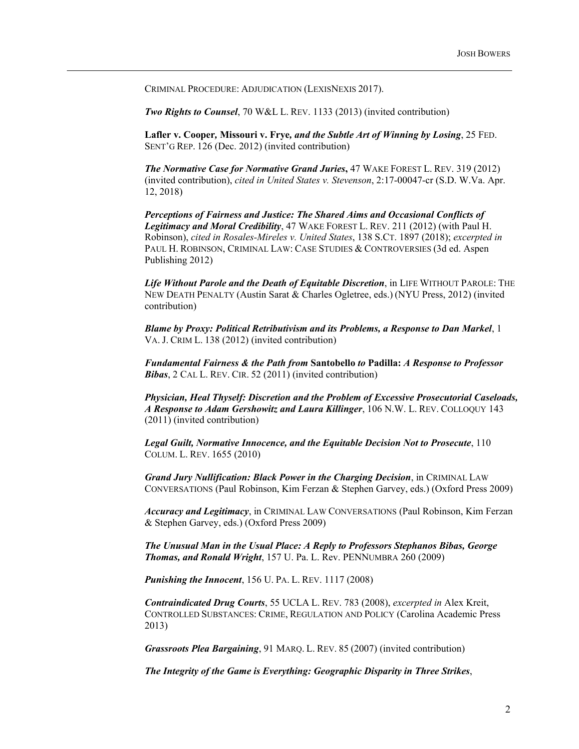CRIMINAL PROCEDURE: ADJUDICATION (LEXISNEXIS 2017).

*Two Rights to Counsel*, 70 W&L L. REV. 1133 (2013) (invited contribution)

**Lafler v. Cooper***,* **Missouri v. Frye***, and the Subtle Art of Winning by Losing*, 25 FED. SENT'G REP. 126 (Dec. 2012) (invited contribution)

*The Normative Case for Normative Grand Juries***,** 47 WAKE FOREST L. REV. 319 (2012) (invited contribution), *cited in United States v. Stevenson*, 2:17-00047-cr (S.D. W.Va. Apr. 12, 2018)

*Perceptions of Fairness and Justice: The Shared Aims and Occasional Conflicts of Legitimacy and Moral Credibility*, 47 WAKE FOREST L. REV. 211 (2012) (with Paul H. Robinson), *cited in Rosales-Mireles v. United States*, 138 S.CT. 1897 (2018); *excerpted in* PAUL H. ROBINSON, CRIMINAL LAW: CASE STUDIES & CONTROVERSIES (3d ed. Aspen Publishing 2012)

*Life Without Parole and the Death of Equitable Discretion*, in LIFE WITHOUT PAROLE: THE NEW DEATH PENALTY (Austin Sarat & Charles Ogletree, eds.) (NYU Press, 2012) (invited contribution)

*Blame by Proxy: Political Retributivism and its Problems, a Response to Dan Markel*, 1 VA. J. CRIM L. 138 (2012) (invited contribution)

*Fundamental Fairness & the Path from* **Santobello** *to* **Padilla:** *A Response to Professor Bibas*, 2 CAL L. REV. CIR. 52 (2011) (invited contribution)

*Physician, Heal Thyself: Discretion and the Problem of Excessive Prosecutorial Caseloads, A Response to Adam Gershowitz and Laura Killinger*, 106 N.W. L. REV. COLLOQUY 143 (2011) (invited contribution)

*Legal Guilt, Normative Innocence, and the Equitable Decision Not to Prosecute*, 110 COLUM. L. REV. 1655 (2010)

*Grand Jury Nullification: Black Power in the Charging Decision*, in CRIMINAL LAW CONVERSATIONS (Paul Robinson, Kim Ferzan & Stephen Garvey, eds.) (Oxford Press 2009)

*Accuracy and Legitimacy*, in CRIMINAL LAW CONVERSATIONS (Paul Robinson, Kim Ferzan & Stephen Garvey, eds.) (Oxford Press 2009)

*The Unusual Man in the Usual Place: A Reply to Professors Stephanos Bibas, George Thomas, and Ronald Wright*, 157 U. Pa. L. Rev. PENNUMBRA 260 (2009)

*Punishing the Innocent*, 156 U. PA. L. REV. 1117 (2008)

*Contraindicated Drug Courts*, 55 UCLA L. REV. 783 (2008), *excerpted in* Alex Kreit, CONTROLLED SUBSTANCES: CRIME, REGULATION AND POLICY (Carolina Academic Press 2013)

*Grassroots Plea Bargaining*, 91 MARQ. L. REV. 85 (2007) (invited contribution)

*The Integrity of the Game is Everything: Geographic Disparity in Three Strikes*,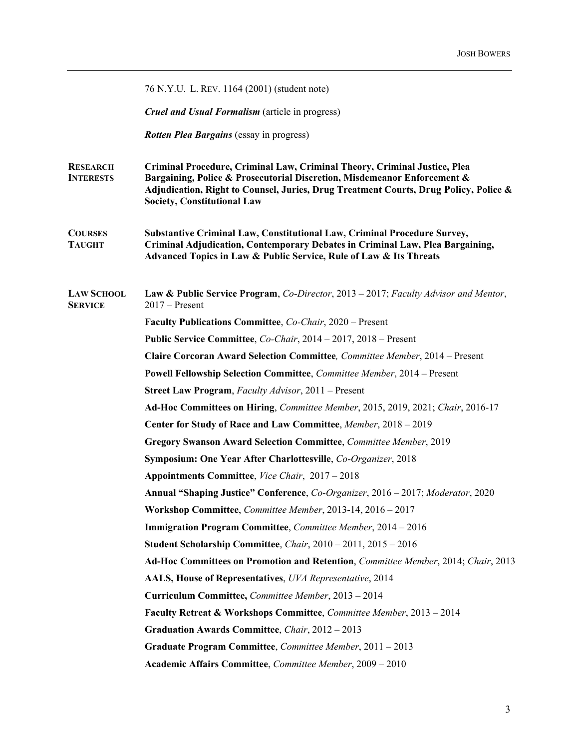|                                     | 76 N.Y.U. L. REV. 1164 (2001) (student note)                                                                                                                                                                                                                                        |
|-------------------------------------|-------------------------------------------------------------------------------------------------------------------------------------------------------------------------------------------------------------------------------------------------------------------------------------|
|                                     | <b>Cruel and Usual Formalism</b> (article in progress)                                                                                                                                                                                                                              |
|                                     | <b>Rotten Plea Bargains</b> (essay in progress)                                                                                                                                                                                                                                     |
| <b>RESEARCH</b><br><b>INTERESTS</b> | Criminal Procedure, Criminal Law, Criminal Theory, Criminal Justice, Plea<br>Bargaining, Police & Prosecutorial Discretion, Misdemeanor Enforcement &<br>Adjudication, Right to Counsel, Juries, Drug Treatment Courts, Drug Policy, Police &<br><b>Society, Constitutional Law</b> |
| <b>COURSES</b><br><b>TAUGHT</b>     | Substantive Criminal Law, Constitutional Law, Criminal Procedure Survey,<br>Criminal Adjudication, Contemporary Debates in Criminal Law, Plea Bargaining,<br>Advanced Topics in Law & Public Service, Rule of Law & Its Threats                                                     |
| <b>LAW SCHOOL</b><br><b>SERVICE</b> | <b>Law &amp; Public Service Program, Co-Director, 2013 – 2017; Faculty Advisor and Mentor,</b><br>$2017 -$ Present                                                                                                                                                                  |
|                                     | Faculty Publications Committee, Co-Chair, 2020 – Present                                                                                                                                                                                                                            |
|                                     | Public Service Committee, Co-Chair, 2014 – 2017, 2018 – Present                                                                                                                                                                                                                     |
|                                     | Claire Corcoran Award Selection Committee, Committee Member, 2014 - Present                                                                                                                                                                                                         |
|                                     | Powell Fellowship Selection Committee, Committee Member, 2014 - Present                                                                                                                                                                                                             |
|                                     | <b>Street Law Program, Faculty Advisor, 2011 – Present</b>                                                                                                                                                                                                                          |
|                                     | Ad-Hoc Committees on Hiring, Committee Member, 2015, 2019, 2021; Chair, 2016-17                                                                                                                                                                                                     |
|                                     | Center for Study of Race and Law Committee, Member, 2018 - 2019                                                                                                                                                                                                                     |
|                                     | Gregory Swanson Award Selection Committee, Committee Member, 2019                                                                                                                                                                                                                   |
|                                     | Symposium: One Year After Charlottesville, Co-Organizer, 2018                                                                                                                                                                                                                       |
|                                     | Appointments Committee, Vice Chair, 2017 - 2018                                                                                                                                                                                                                                     |
|                                     | Annual "Shaping Justice" Conference, Co-Organizer, 2016 - 2017; Moderator, 2020                                                                                                                                                                                                     |
|                                     | Workshop Committee, Committee Member, 2013-14, 2016 - 2017                                                                                                                                                                                                                          |
|                                     | Immigration Program Committee, Committee Member, 2014 - 2016                                                                                                                                                                                                                        |
|                                     | Student Scholarship Committee, Chair, 2010 - 2011, 2015 - 2016                                                                                                                                                                                                                      |
|                                     | Ad-Hoc Committees on Promotion and Retention, Committee Member, 2014; Chair, 2013                                                                                                                                                                                                   |
|                                     | AALS, House of Representatives, UVA Representative, 2014                                                                                                                                                                                                                            |
|                                     | Curriculum Committee, Committee Member, 2013 - 2014                                                                                                                                                                                                                                 |
|                                     | Faculty Retreat & Workshops Committee, Committee Member, 2013 - 2014                                                                                                                                                                                                                |
|                                     | Graduation Awards Committee, Chair, 2012 - 2013                                                                                                                                                                                                                                     |
|                                     | Graduate Program Committee, Committee Member, 2011 - 2013                                                                                                                                                                                                                           |
|                                     | Academic Affairs Committee, Committee Member, 2009 - 2010                                                                                                                                                                                                                           |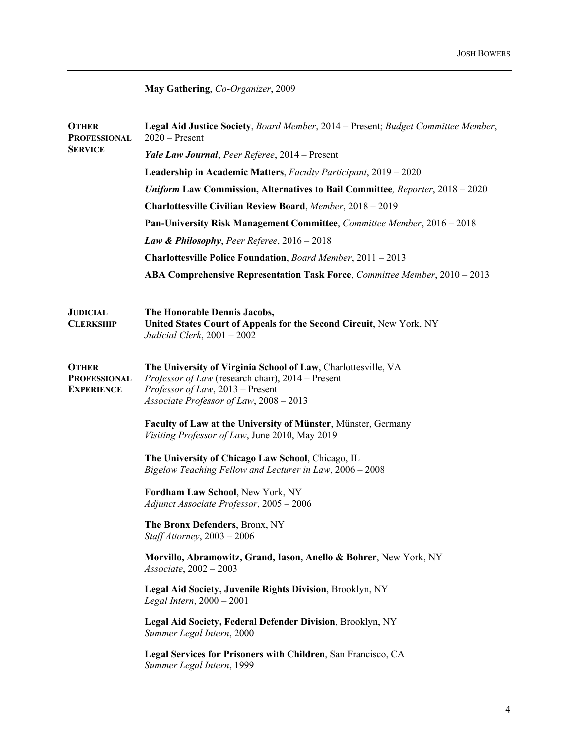**May Gathering**, *Co-Organizer*, 2009

| <b>OTHER</b><br><b>PROFESSIONAL</b><br><b>SERVICE</b>    | Legal Aid Justice Society, Board Member, 2014 – Present; Budget Committee Member,<br>$2020$ – Present                                                                                                      |
|----------------------------------------------------------|------------------------------------------------------------------------------------------------------------------------------------------------------------------------------------------------------------|
|                                                          | Yale Law Journal, Peer Referee, 2014 - Present                                                                                                                                                             |
|                                                          | Leadership in Academic Matters, Faculty Participant, 2019 - 2020                                                                                                                                           |
|                                                          | <b>Uniform Law Commission, Alternatives to Bail Committee, Reporter, 2018 - 2020</b>                                                                                                                       |
|                                                          | Charlottesville Civilian Review Board, Member, 2018 - 2019                                                                                                                                                 |
|                                                          | Pan-University Risk Management Committee, Committee Member, 2016 - 2018                                                                                                                                    |
|                                                          | Law & Philosophy, Peer Referee, $2016 - 2018$                                                                                                                                                              |
|                                                          | Charlottesville Police Foundation, Board Member, 2011 - 2013                                                                                                                                               |
|                                                          | ABA Comprehensive Representation Task Force, Committee Member, 2010 - 2013                                                                                                                                 |
| <b>JUDICIAL</b><br><b>CLERKSHIP</b>                      | The Honorable Dennis Jacobs,<br>United States Court of Appeals for the Second Circuit, New York, NY<br>Judicial Clerk, $2001 - 2002$                                                                       |
| <b>OTHER</b><br><b>PROFESSIONAL</b><br><b>EXPERIENCE</b> | The University of Virginia School of Law, Charlottesville, VA<br><i>Professor of Law</i> (research chair), 2014 – Present<br>Professor of Law, 2013 – Present<br>Associate Professor of Law, $2008 - 2013$ |
|                                                          | Faculty of Law at the University of Münster, Münster, Germany<br>Visiting Professor of Law, June 2010, May 2019                                                                                            |
|                                                          | The University of Chicago Law School, Chicago, IL<br>Bigelow Teaching Fellow and Lecturer in Law, 2006 - 2008                                                                                              |
|                                                          | Fordham Law School, New York, NY<br>Adjunct Associate Professor, 2005 - 2006                                                                                                                               |
|                                                          | The Bronx Defenders, Bronx, NY<br>Staff Attorney, 2003 - 2006                                                                                                                                              |
|                                                          | Morvillo, Abramowitz, Grand, Iason, Anello & Bohrer, New York, NY<br>$Associate$ , 2002 - 2003                                                                                                             |
|                                                          | Legal Aid Society, Juvenile Rights Division, Brooklyn, NY<br>Legal Intern, $2000 - 2001$                                                                                                                   |
|                                                          | Legal Aid Society, Federal Defender Division, Brooklyn, NY<br>Summer Legal Intern, 2000                                                                                                                    |
|                                                          | Legal Services for Prisoners with Children, San Francisco, CA<br>Summer Legal Intern, 1999                                                                                                                 |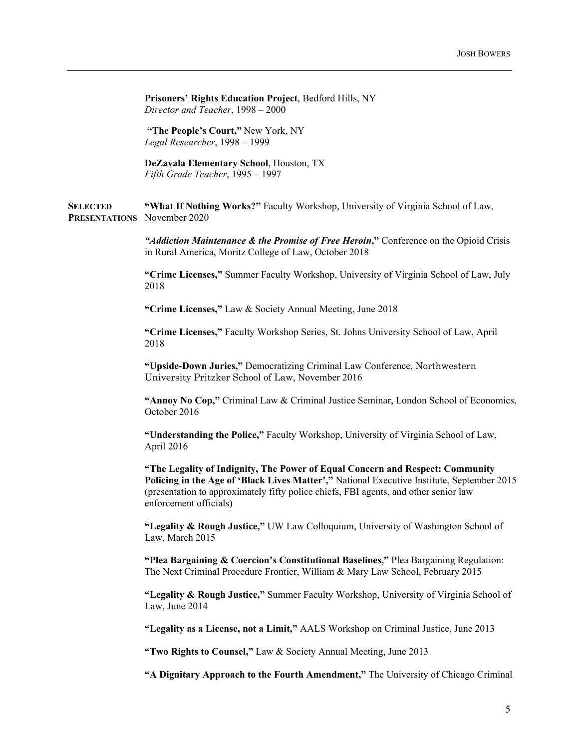**Prisoners' Rights Education Project**, Bedford Hills, NY *Director and Teacher*, 1998 – 2000

**"The People's Court,"** New York, NY *Legal Researcher*, 1998 – 1999

**DeZavala Elementary School**, Houston, TX *Fifth Grade Teacher*, 1995 – 1997

**SELECTED PRESENTATIONS** November 2020 **"What If Nothing Works?"** Faculty Workshop, University of Virginia School of Law,

> *"Addiction Maintenance & the Promise of Free Heroin***,"** Conference on the Opioid Crisis in Rural America, Moritz College of Law, October 2018

> **"Crime Licenses,"** Summer Faculty Workshop, University of Virginia School of Law, July 2018

**"Crime Licenses,"** Law & Society Annual Meeting, June 2018

**"Crime Licenses,"** Faculty Workshop Series, St. Johns University School of Law, April 2018

**"Upside-Down Juries,"** Democratizing Criminal Law Conference, Northwestern University Pritzker School of Law, November 2016

**"Annoy No Cop,"** Criminal Law & Criminal Justice Seminar, London School of Economics, October 2016

**"Understanding the Police,"** Faculty Workshop, University of Virginia School of Law, April 2016

**"The Legality of Indignity, The Power of Equal Concern and Respect: Community Policing in the Age of 'Black Lives Matter',"** National Executive Institute, September 2015 (presentation to approximately fifty police chiefs, FBI agents, and other senior law enforcement officials)

**"Legality & Rough Justice,"** UW Law Colloquium, University of Washington School of Law, March 2015

**"Plea Bargaining & Coercion's Constitutional Baselines,"** Plea Bargaining Regulation: The Next Criminal Procedure Frontier, William & Mary Law School, February 2015

**"Legality & Rough Justice,"** Summer Faculty Workshop, University of Virginia School of Law, June 2014

**"Legality as a License, not a Limit,"** AALS Workshop on Criminal Justice, June 2013

**"Two Rights to Counsel,"** Law & Society Annual Meeting, June 2013

**"A Dignitary Approach to the Fourth Amendment,"** The University of Chicago Criminal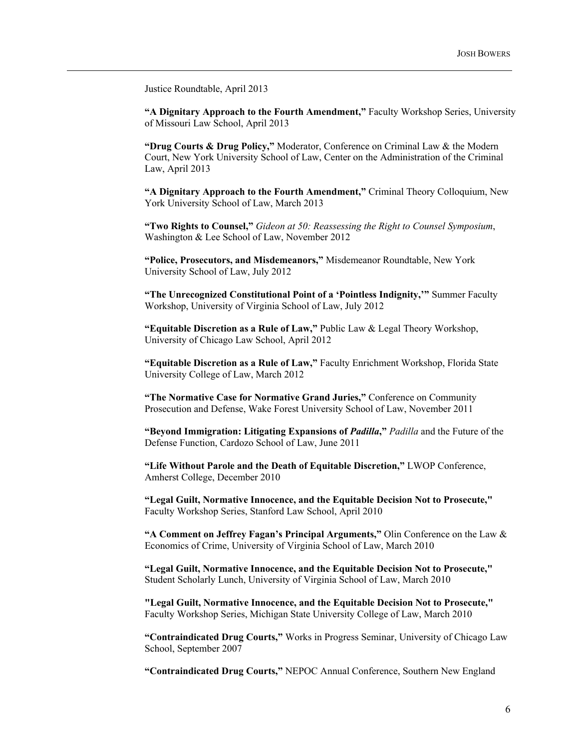Justice Roundtable, April 2013

**"A Dignitary Approach to the Fourth Amendment,"** Faculty Workshop Series, University of Missouri Law School, April 2013

**"Drug Courts & Drug Policy,"** Moderator, Conference on Criminal Law & the Modern Court, New York University School of Law, Center on the Administration of the Criminal Law, April 2013

**"A Dignitary Approach to the Fourth Amendment,"** Criminal Theory Colloquium, New York University School of Law, March 2013

**"Two Rights to Counsel,"** *Gideon at 50: Reassessing the Right to Counsel Symposium*, Washington & Lee School of Law, November 2012

**"Police, Prosecutors, and Misdemeanors,"** Misdemeanor Roundtable, New York University School of Law, July 2012

**"The Unrecognized Constitutional Point of a 'Pointless Indignity,'"** Summer Faculty Workshop, University of Virginia School of Law, July 2012

**"Equitable Discretion as a Rule of Law,"** Public Law & Legal Theory Workshop, University of Chicago Law School, April 2012

**"Equitable Discretion as a Rule of Law,"** Faculty Enrichment Workshop, Florida State University College of Law, March 2012

**"The Normative Case for Normative Grand Juries,"** Conference on Community Prosecution and Defense, Wake Forest University School of Law, November 2011

**"Beyond Immigration: Litigating Expansions of** *Padilla***,"** *Padilla* and the Future of the Defense Function, Cardozo School of Law, June 2011

**"Life Without Parole and the Death of Equitable Discretion,"** LWOP Conference, Amherst College, December 2010

**"Legal Guilt, Normative Innocence, and the Equitable Decision Not to Prosecute,"** Faculty Workshop Series, Stanford Law School, April 2010

**"A Comment on Jeffrey Fagan's Principal Arguments,"** Olin Conference on the Law & Economics of Crime, University of Virginia School of Law, March 2010

**"Legal Guilt, Normative Innocence, and the Equitable Decision Not to Prosecute,"** Student Scholarly Lunch, University of Virginia School of Law, March 2010

**"Legal Guilt, Normative Innocence, and the Equitable Decision Not to Prosecute,"** Faculty Workshop Series, Michigan State University College of Law, March 2010

**"Contraindicated Drug Courts,"** Works in Progress Seminar, University of Chicago Law School, September 2007

**"Contraindicated Drug Courts,"** NEPOC Annual Conference, Southern New England